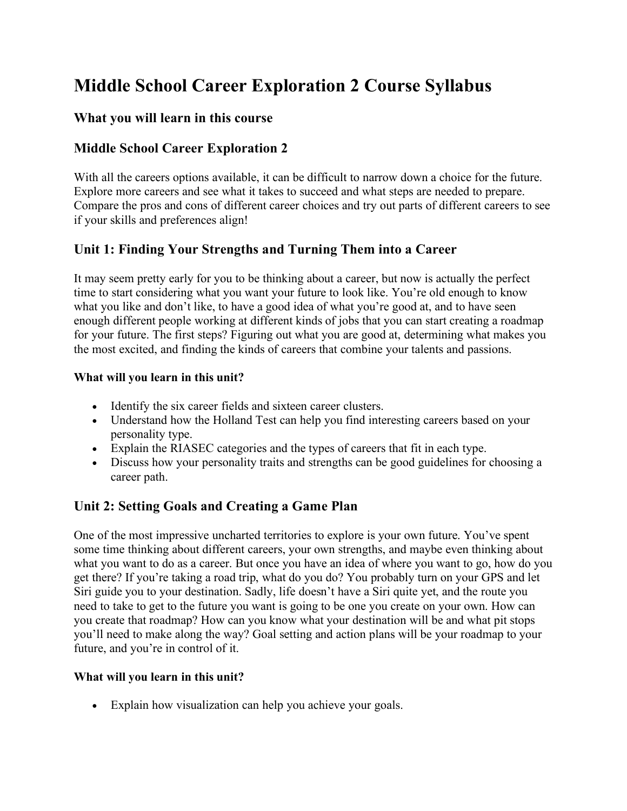# **Middle School Career Exploration 2 Course Syllabus**

#### **What you will learn in this course**

## **Middle School Career Exploration 2**

With all the careers options available, it can be difficult to narrow down a choice for the future. Explore more careers and see what it takes to succeed and what steps are needed to prepare. Compare the pros and cons of different career choices and try out parts of different careers to see if your skills and preferences align!

## **Unit 1: Finding Your Strengths and Turning Them into a Career**

It may seem pretty early for you to be thinking about a career, but now is actually the perfect time to start considering what you want your future to look like. You're old enough to know what you like and don't like, to have a good idea of what you're good at, and to have seen enough different people working at different kinds of jobs that you can start creating a roadmap for your future. The first steps? Figuring out what you are good at, determining what makes you the most excited, and finding the kinds of careers that combine your talents and passions.

#### **What will you learn in this unit?**

- Identify the six career fields and sixteen career clusters.
- Understand how the Holland Test can help you find interesting careers based on your personality type.
- Explain the RIASEC categories and the types of careers that fit in each type.
- Discuss how your personality traits and strengths can be good guidelines for choosing a career path.

### **Unit 2: Setting Goals and Creating a Game Plan**

One of the most impressive uncharted territories to explore is your own future. You've spent some time thinking about different careers, your own strengths, and maybe even thinking about what you want to do as a career. But once you have an idea of where you want to go, how do you get there? If you're taking a road trip, what do you do? You probably turn on your GPS and let Siri guide you to your destination. Sadly, life doesn't have a Siri quite yet, and the route you need to take to get to the future you want is going to be one you create on your own. How can you create that roadmap? How can you know what your destination will be and what pit stops you'll need to make along the way? Goal setting and action plans will be your roadmap to your future, and you're in control of it.

#### **What will you learn in this unit?**

• Explain how visualization can help you achieve your goals.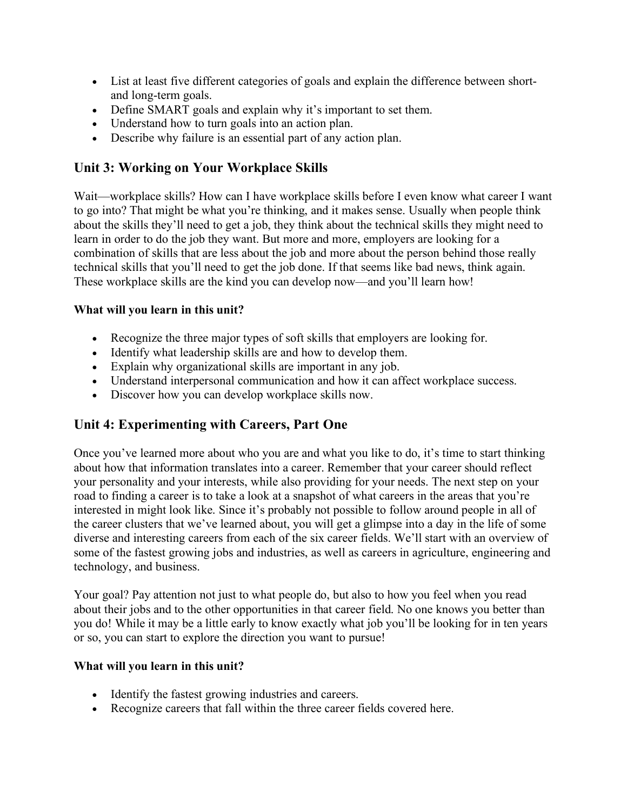- List at least five different categories of goals and explain the difference between shortand long-term goals.
- Define SMART goals and explain why it's important to set them.
- Understand how to turn goals into an action plan.
- Describe why failure is an essential part of any action plan.

# **Unit 3: Working on Your Workplace Skills**

Wait—workplace skills? How can I have workplace skills before I even know what career I want to go into? That might be what you're thinking, and it makes sense. Usually when people think about the skills they'll need to get a job, they think about the technical skills they might need to learn in order to do the job they want. But more and more, employers are looking for a combination of skills that are less about the job and more about the person behind those really technical skills that you'll need to get the job done. If that seems like bad news, think again. These workplace skills are the kind you can develop now—and you'll learn how!

### **What will you learn in this unit?**

- Recognize the three major types of soft skills that employers are looking for.
- Identify what leadership skills are and how to develop them.
- Explain why organizational skills are important in any job.
- Understand interpersonal communication and how it can affect workplace success.
- Discover how you can develop workplace skills now.

# **Unit 4: Experimenting with Careers, Part One**

Once you've learned more about who you are and what you like to do, it's time to start thinking about how that information translates into a career. Remember that your career should reflect your personality and your interests, while also providing for your needs. The next step on your road to finding a career is to take a look at a snapshot of what careers in the areas that you're interested in might look like. Since it's probably not possible to follow around people in all of the career clusters that we've learned about, you will get a glimpse into a day in the life of some diverse and interesting careers from each of the six career fields. We'll start with an overview of some of the fastest growing jobs and industries, as well as careers in agriculture, engineering and technology, and business.

Your goal? Pay attention not just to what people do, but also to how you feel when you read about their jobs and to the other opportunities in that career field. No one knows you better than you do! While it may be a little early to know exactly what job you'll be looking for in ten years or so, you can start to explore the direction you want to pursue!

#### **What will you learn in this unit?**

- Identify the fastest growing industries and careers.
- Recognize careers that fall within the three career fields covered here.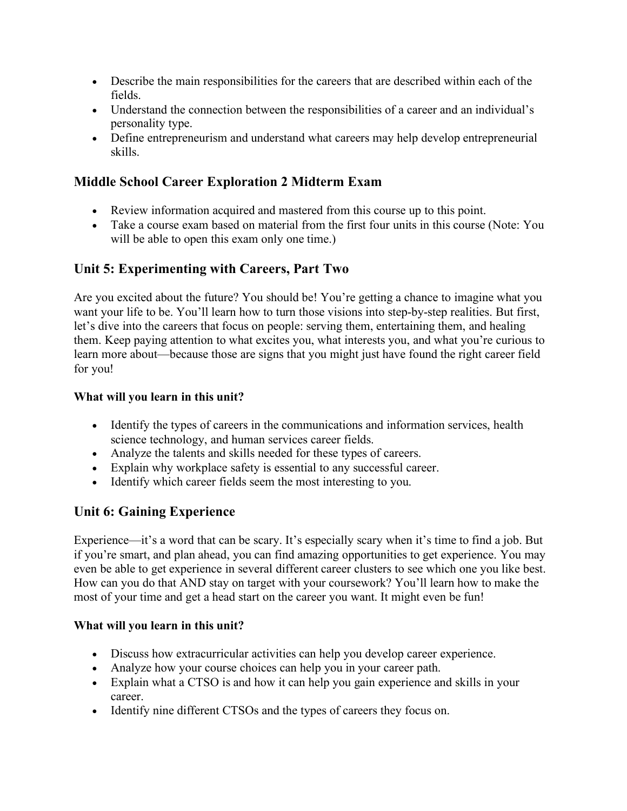- Describe the main responsibilities for the careers that are described within each of the fields.
- Understand the connection between the responsibilities of a career and an individual's personality type.
- Define entrepreneurism and understand what careers may help develop entrepreneurial skills.

## **Middle School Career Exploration 2 Midterm Exam**

- Review information acquired and mastered from this course up to this point.
- Take a course exam based on material from the first four units in this course (Note: You will be able to open this exam only one time.)

# **Unit 5: Experimenting with Careers, Part Two**

Are you excited about the future? You should be! You're getting a chance to imagine what you want your life to be. You'll learn how to turn those visions into step-by-step realities. But first, let's dive into the careers that focus on people: serving them, entertaining them, and healing them. Keep paying attention to what excites you, what interests you, and what you're curious to learn more about—because those are signs that you might just have found the right career field for you!

#### **What will you learn in this unit?**

- Identify the types of careers in the communications and information services, health science technology, and human services career fields.
- Analyze the talents and skills needed for these types of careers.
- Explain why workplace safety is essential to any successful career.
- Identify which career fields seem the most interesting to you.

# **Unit 6: Gaining Experience**

Experience—it's a word that can be scary. It's especially scary when it's time to find a job. But if you're smart, and plan ahead, you can find amazing opportunities to get experience. You may even be able to get experience in several different career clusters to see which one you like best. How can you do that AND stay on target with your coursework? You'll learn how to make the most of your time and get a head start on the career you want. It might even be fun!

### **What will you learn in this unit?**

- Discuss how extracurricular activities can help you develop career experience.
- Analyze how your course choices can help you in your career path.
- Explain what a CTSO is and how it can help you gain experience and skills in your career.
- Identify nine different CTSOs and the types of careers they focus on.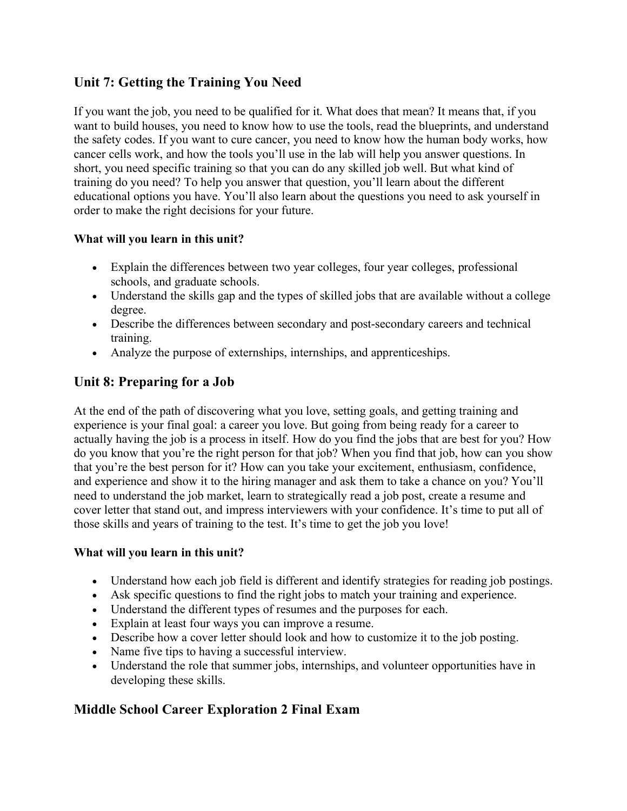# **Unit 7: Getting the Training You Need**

If you want the job, you need to be qualified for it. What does that mean? It means that, if you want to build houses, you need to know how to use the tools, read the blueprints, and understand the safety codes. If you want to cure cancer, you need to know how the human body works, how cancer cells work, and how the tools you'll use in the lab will help you answer questions. In short, you need specific training so that you can do any skilled job well. But what kind of training do you need? To help you answer that question, you'll learn about the different educational options you have. You'll also learn about the questions you need to ask yourself in order to make the right decisions for your future.

#### **What will you learn in this unit?**

- Explain the differences between two year colleges, four year colleges, professional schools, and graduate schools.
- Understand the skills gap and the types of skilled jobs that are available without a college degree.
- Describe the differences between secondary and post-secondary careers and technical training.
- Analyze the purpose of externships, internships, and apprenticeships.

# **Unit 8: Preparing for a Job**

At the end of the path of discovering what you love, setting goals, and getting training and experience is your final goal: a career you love. But going from being ready for a career to actually having the job is a process in itself. How do you find the jobs that are best for you? How do you know that you're the right person for that job? When you find that job, how can you show that you're the best person for it? How can you take your excitement, enthusiasm, confidence, and experience and show it to the hiring manager and ask them to take a chance on you? You'll need to understand the job market, learn to strategically read a job post, create a resume and cover letter that stand out, and impress interviewers with your confidence. It's time to put all of those skills and years of training to the test. It's time to get the job you love!

#### **What will you learn in this unit?**

- Understand how each job field is different and identify strategies for reading job postings.
- Ask specific questions to find the right jobs to match your training and experience.
- Understand the different types of resumes and the purposes for each.
- Explain at least four ways you can improve a resume.
- Describe how a cover letter should look and how to customize it to the job posting.
- Name five tips to having a successful interview.
- Understand the role that summer jobs, internships, and volunteer opportunities have in developing these skills.

# **Middle School Career Exploration 2 Final Exam**